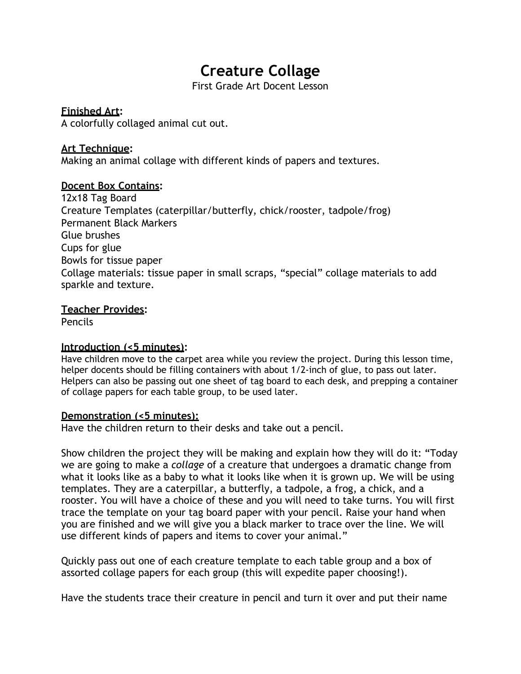# **Creature Collage**

First Grade Art Docent Lesson

#### **Finished Art:**

A colorfully collaged animal cut out.

## **Art Technique:**

Making an animal collage with different kinds of papers and textures.

## **Docent Box Contains:**

12x18 Tag Board Creature Templates (caterpillar/butterfly, chick/rooster, tadpole/frog) Permanent Black Markers Glue brushes Cups for glue Bowls for tissue paper Collage materials: tissue paper in small scraps, "special" collage materials to add sparkle and texture.

#### **Teacher Provides:**

Pencils

#### **Introduction (<5 minutes):**

Have children move to the carpet area while you review the project. During this lesson time, helper docents should be filling containers with about 1/2-inch of glue, to pass out later. Helpers can also be passing out one sheet of tag board to each desk, and prepping a container of collage papers for each table group, to be used later.

#### **Demonstration (<5 minutes):**

Have the children return to their desks and take out a pencil.

Show children the project they will be making and explain how they will do it: "Today we are going to make a *collage* of a creature that undergoes a dramatic change from what it looks like as a baby to what it looks like when it is grown up. We will be using templates. They are a caterpillar, a butterfly, a tadpole, a frog, a chick, and a rooster. You will have a choice of these and you will need to take turns. You will first trace the template on your tag board paper with your pencil. Raise your hand when you are finished and we will give you a black marker to trace over the line. We will use different kinds of papers and items to cover your animal."

Quickly pass out one of each creature template to each table group and a box of assorted collage papers for each group (this will expedite paper choosing!).

Have the students trace their creature in pencil and turn it over and put their name